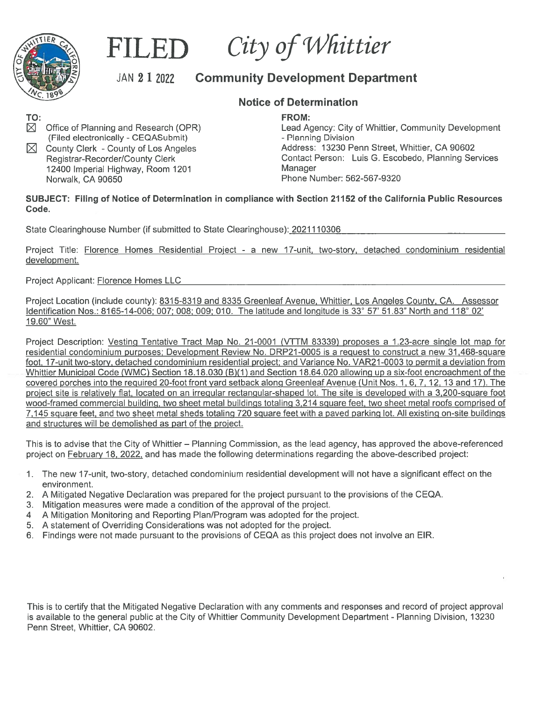

## City of Whittier

## JAN 2 1 2022 Community Development Department

## Notice of Determination

FROM:

Office of Planning and Research (OPR) Lead Agency: City of Whittier, Community Development (Filed electronically -CEQASubmit) - Planning Division County Clerk - County of Los Angeles **Address: 13230 Penn Street, Whittier, CA 90602**<br>Registrar-Recorder/County Clerk **Address: Contact Person: Luis G. Escobedo, Planning Ser** Contact Person: Luis G. Escobedo, Planning Services 12400 Imperial Highway, Room 1201 **Manager Norwalk, CA 90650** Manager<br>
Norwalk, CA 90650 Phone Number: 562-567-9320

SUBJECT: Filing of Notice of Determination in compliance with Section 21152 of the California Public Resources Code.

State Clearinghouse Number (if submitted to State Clearinghouse): 2021110306

Project Title: Florence Homes Residential Proiect - <sup>a</sup> new 17-unit, two-story, detached condominium residential development.

Project Applicant: Florence Homes LLC

Project Location (include county): 8315-8319 and 8335 Greenleaf Avenue, Whittier, Los Angeles County, CA. Assessor Identification Nos.: 8165-14-006: 007: 008: 009; 010. The latitude and longitude is 33° 57' 51.83" North and 118° 02' 19.60" West.

Project Description: Vesting Tentative Tract Map No. 21-0001 (VTTM 83339) proposes <sup>a</sup> 1.23-acre single lot map for residential condominium purposes; Development Review No. DRP21-0005 is a request to construct a new 31,468-square foot, 17-unit two-story, detached condominium residential project: and Variance No. VAR21-0003 to permit <sup>a</sup> deviation from Whittier Municipal Code (WMC) Section 18.18.030 (B)(1) and Section 18.64.020 allowing up a six-foot encroachment of the covered porches into the required 20-foot front yard setback along Greenleaf Avenue (Unit Nos. 1, 6, 7, 12, 13 and 17). The project site is relatively flat, located on an irregular rectangular-shaped lot. The site is developed with <sup>a</sup> 3,200-square foot wood-framed commercial building, two sheet metal buildings totaling 3,214 square feet, two sheet metal roofs comprised of 7,145 square feet, and two sheet metal sheds totaling 720 square feet with <sup>a</sup> paved parking lot. All existing on-site buildings and structures will be demolished as par<sup>t</sup> of the project.

This is to advise that the City of Whittier — Planning Commission, as the lead agency, has approved the above-referenced project on February 18, 2022, and has made the following determinations regarding the above-described project:

- 1. The new 17-unit, two-story, detached condominium residential development will not have <sup>a</sup> significant effect on the environment.
- 2. A Mitigated Negative Declaration was prepared for the project pursuan<sup>t</sup> to the provisions of the CEQA.
- 3. Mitigation measures were made <sup>a</sup> condition of the approval of the project.
- 4 A Mitigation Monitoring and Reporting Plan/Program was adopted for the project.
- 5. A statement of Overriding Considerations was not adopted for the project.
- 6. Findings were not made pursuan<sup>t</sup> to the provisions of CEQA as this project does not involve an FIR.

This is to certify that the Mitigated Negative Declaration with any comments and responses and record of project approval is available to the general public at the City of Whittier Community Development Department - Planning Division, 13230 Penn Street, Whittier, CA 90602.

TO: $\boxtimes$ 

⊠